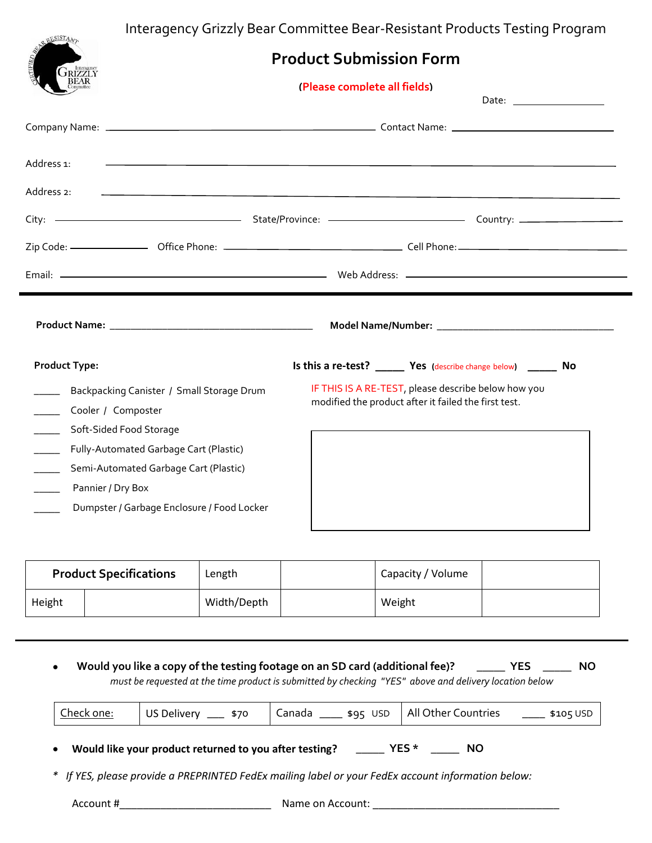Interagency Grizzly Bear Committee Bear-Resistant Products Testing Program

| <b>RESISTANT</b>        |                                            | interagency Grizziy Dear Committee Dear-Kesistant Froudets Testing Frogram |                                                                                                             |  |  |  |
|-------------------------|--------------------------------------------|----------------------------------------------------------------------------|-------------------------------------------------------------------------------------------------------------|--|--|--|
|                         | <b>Product Submission Form</b>             |                                                                            |                                                                                                             |  |  |  |
| <b>GRIZZLY</b><br>BEAR  | (Please complete all fields)               |                                                                            |                                                                                                             |  |  |  |
|                         |                                            |                                                                            |                                                                                                             |  |  |  |
|                         |                                            |                                                                            |                                                                                                             |  |  |  |
| Address 1:              |                                            |                                                                            | ,我们也不会有什么。""我们的人,我们也不会有什么?""我们的人,我们也不会有什么?""我们的人,我们也不会有什么?""我们的人,我们也不会有什么?""我们的人                            |  |  |  |
| Address 2:              |                                            |                                                                            |                                                                                                             |  |  |  |
|                         |                                            |                                                                            |                                                                                                             |  |  |  |
|                         |                                            |                                                                            |                                                                                                             |  |  |  |
|                         |                                            |                                                                            |                                                                                                             |  |  |  |
|                         |                                            |                                                                            |                                                                                                             |  |  |  |
|                         |                                            |                                                                            |                                                                                                             |  |  |  |
| <b>Product Type:</b>    |                                            |                                                                            | Is this a re-test? _______ Yes (describe change below) _______ No                                           |  |  |  |
|                         | Backpacking Canister / Small Storage Drum  |                                                                            | IF THIS IS A RE-TEST, please describe below how you<br>modified the product after it failed the first test. |  |  |  |
| Cooler / Composter      |                                            |                                                                            |                                                                                                             |  |  |  |
| Soft-Sided Food Storage |                                            |                                                                            |                                                                                                             |  |  |  |
|                         | Fully-Automated Garbage Cart (Plastic)     |                                                                            |                                                                                                             |  |  |  |
|                         | Semi-Automated Garbage Cart (Plastic)      |                                                                            |                                                                                                             |  |  |  |
| Pannier / Dry Box       | Dumpster / Garbage Enclosure / Food Locker |                                                                            |                                                                                                             |  |  |  |

| <b>Product Specifications</b> |  | Length      | Capacity / Volume |  |
|-------------------------------|--|-------------|-------------------|--|
| Height                        |  | Width/Depth | Weight            |  |

| All Other Countries _______ \$105 USD<br>Canada _____ \$95 USD<br>Check one:<br>US Delivery _____ \$70 |  |
|--------------------------------------------------------------------------------------------------------|--|
|--------------------------------------------------------------------------------------------------------|--|